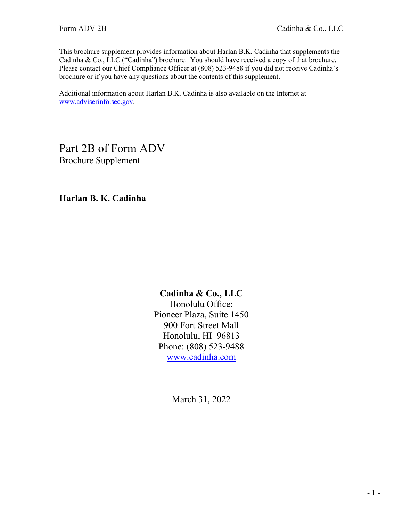This brochure supplement provides information about Harlan B.K. Cadinha that supplements the Cadinha & Co., LLC ("Cadinha") brochure. You should have received a copy of that brochure. Please contact our Chief Compliance Officer at (808) 523-9488 if you did not receive Cadinha's brochure or if you have any questions about the contents of this supplement.

Additional information about Harlan B.K. Cadinha is also available on the Internet at [www.adviserinfo.sec.gov.](http://www.adviserinfo.sec.gov/)

Part 2B of Form ADV Brochure Supplement

**Harlan B. K. Cadinha**

## **Cadinha & Co., LLC**

Honolulu Office: Pioneer Plaza, Suite 1450 900 Fort Street Mall Honolulu, HI 96813 Phone: (808) 523-9488 [www.cadinha.com](http://www.cadinha.com/)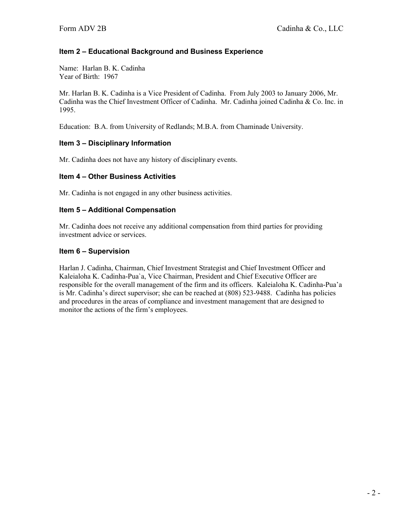Name: Harlan B. K. Cadinha Year of Birth: 1967

Mr. Harlan B. K. Cadinha is a Vice President of Cadinha. From July 2003 to January 2006, Mr. Cadinha was the Chief Investment Officer of Cadinha. Mr. Cadinha joined Cadinha & Co. Inc. in 1995.

Education: B.A. from University of Redlands; M.B.A. from Chaminade University.

#### **Item 3 – Disciplinary Information**

Mr. Cadinha does not have any history of disciplinary events.

#### **Item 4 – Other Business Activities**

Mr. Cadinha is not engaged in any other business activities.

#### **Item 5 – Additional Compensation**

Mr. Cadinha does not receive any additional compensation from third parties for providing investment advice or services.

#### **Item 6 – Supervision**

Harlan J. Cadinha, Chairman, Chief Investment Strategist and Chief Investment Officer and Kaleialoha K. Cadinha-Pua`a, Vice Chairman, President and Chief Executive Officer are responsible for the overall management of the firm and its officers. Kaleialoha K. Cadinha-Pua'a is Mr. Cadinha's direct supervisor; she can be reached at (808) 523-9488. Cadinha has policies and procedures in the areas of compliance and investment management that are designed to monitor the actions of the firm's employees.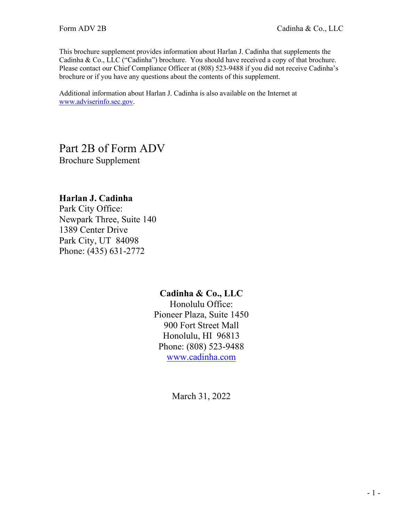This brochure supplement provides information about Harlan J. Cadinha that supplements the Cadinha & Co., LLC ("Cadinha") brochure. You should have received a copy of that brochure. Please contact our Chief Compliance Officer at (808) 523-9488 if you did not receive Cadinha's brochure or if you have any questions about the contents of this supplement.

Additional information about Harlan J. Cadinha is also available on the Internet at [www.adviserinfo.sec.gov.](http://www.adviserinfo.sec.gov/)

# Part 2B of Form ADV Brochure Supplement

## **Harlan J. Cadinha**

Park City Office: Newpark Three, Suite 140 1389 Center Drive Park City, UT 84098 Phone: (435) 631-2772

## **Cadinha & Co., LLC**

Honolulu Office: Pioneer Plaza, Suite 1450 900 Fort Street Mall Honolulu, HI 96813 Phone: (808) 523-9488 [www.cadinha.com](http://www.cadinha.com/)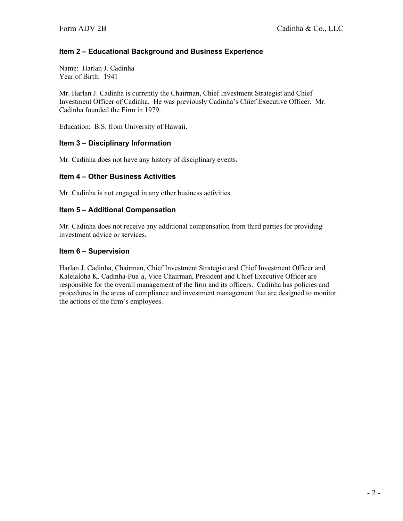Name: Harlan J. Cadinha Year of Birth: 1941

Mr. Harlan J. Cadinha is currently the Chairman, Chief Investment Strategist and Chief Investment Officer of Cadinha. He was previously Cadinha's Chief Executive Officer. Mr. Cadinha founded the Firm in 1979.

Education: B.S. from University of Hawaii.

#### **Item 3 – Disciplinary Information**

Mr. Cadinha does not have any history of disciplinary events.

#### **Item 4 – Other Business Activities**

Mr. Cadinha is not engaged in any other business activities.

#### **Item 5 – Additional Compensation**

Mr. Cadinha does not receive any additional compensation from third parties for providing investment advice or services.

#### **Item 6 – Supervision**

Harlan J. Cadinha, Chairman, Chief Investment Strategist and Chief Investment Officer and Kaleialoha K. Cadinha-Pua`a, Vice Chairman, President and Chief Executive Officer are responsible for the overall management of the firm and its officers. Cadinha has policies and procedures in the areas of compliance and investment management that are designed to monitor the actions of the firm's employees.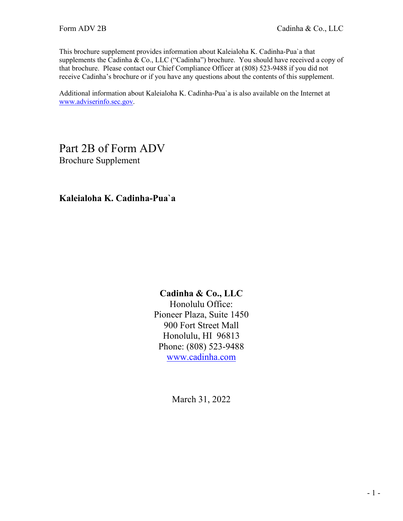This brochure supplement provides information about Kaleialoha K. Cadinha-Pua`a that supplements the Cadinha & Co., LLC ("Cadinha") brochure. You should have received a copy of that brochure. Please contact our Chief Compliance Officer at (808) 523-9488 if you did not receive Cadinha's brochure or if you have any questions about the contents of this supplement.

Additional information about Kaleialoha K. Cadinha-Pua`a is also available on the Internet at [www.adviserinfo.sec.gov.](http://www.adviserinfo.sec.gov/)

# Part 2B of Form ADV Brochure Supplement

**Kaleialoha K. Cadinha-Pua`a**

## **Cadinha & Co., LLC**

Honolulu Office: Pioneer Plaza, Suite 1450 900 Fort Street Mall Honolulu, HI 96813 Phone: (808) 523-9488 [www.cadinha.com](http://www.cadinha.com/)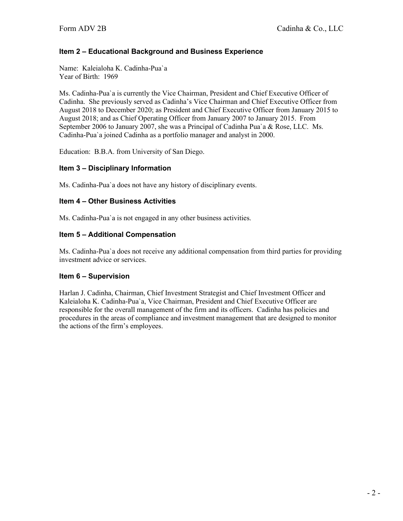Name: Kaleialoha K. Cadinha-Pua`a Year of Birth: 1969

Ms. Cadinha-Pua`a is currently the Vice Chairman, President and Chief Executive Officer of Cadinha. She previously served as Cadinha's Vice Chairman and Chief Executive Officer from August 2018 to December 2020; as President and Chief Executive Officer from January 2015 to August 2018; and as Chief Operating Officer from January 2007 to January 2015. From September 2006 to January 2007, she was a Principal of Cadinha Pua`a & Rose, LLC. Ms. Cadinha-Pua`a joined Cadinha as a portfolio manager and analyst in 2000.

Education: B.B.A. from University of San Diego.

#### **Item 3 – Disciplinary Information**

Ms. Cadinha-Pua`a does not have any history of disciplinary events.

#### **Item 4 – Other Business Activities**

Ms. Cadinha-Pua`a is not engaged in any other business activities.

#### **Item 5 – Additional Compensation**

Ms. Cadinha-Pua`a does not receive any additional compensation from third parties for providing investment advice or services.

#### **Item 6 – Supervision**

Harlan J. Cadinha, Chairman, Chief Investment Strategist and Chief Investment Officer and Kaleialoha K. Cadinha-Pua`a, Vice Chairman, President and Chief Executive Officer are responsible for the overall management of the firm and its officers. Cadinha has policies and procedures in the areas of compliance and investment management that are designed to monitor the actions of the firm's employees.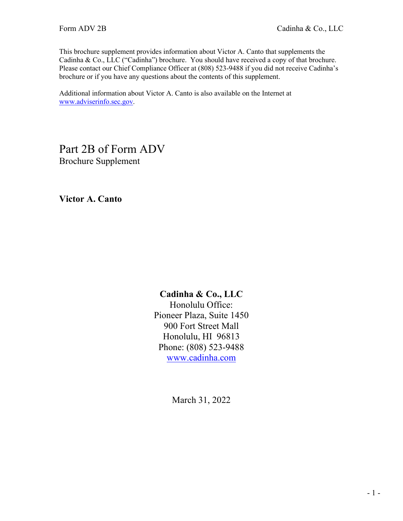This brochure supplement provides information about Victor A. Canto that supplements the Cadinha & Co., LLC ("Cadinha") brochure. You should have received a copy of that brochure. Please contact our Chief Compliance Officer at (808) 523-9488 if you did not receive Cadinha's brochure or if you have any questions about the contents of this supplement.

Additional information about Victor A. Canto is also available on the Internet at [www.adviserinfo.sec.gov.](http://www.adviserinfo.sec.gov/)

Part 2B of Form ADV Brochure Supplement

**Victor A. Canto**

## **Cadinha & Co., LLC**

Honolulu Office: Pioneer Plaza, Suite 1450 900 Fort Street Mall Honolulu, HI 96813 Phone: (808) 523-9488 [www.cadinha.com](http://www.cadinha.com/)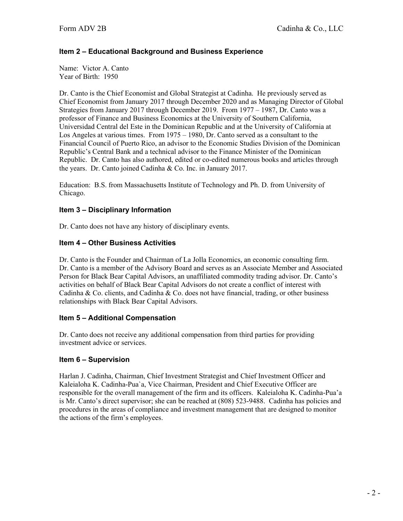Name: Victor A. Canto Year of Birth: 1950

Dr. Canto is the Chief Economist and Global Strategist at Cadinha. He previously served as Chief Economist from January 2017 through December 2020 and as Managing Director of Global Strategies from January 2017 through December 2019. From 1977 – 1987, Dr. Canto was a professor of Finance and Business Economics at the University of Southern California, Universidad Central del Este in the Dominican Republic and at the University of California at Los Angeles at various times. From 1975 – 1980, Dr. Canto served as a consultant to the Financial Council of Puerto Rico, an advisor to the Economic Studies Division of the Dominican Republic's Central Bank and a technical advisor to the Finance Minister of the Dominican Republic. Dr. Canto has also authored, edited or co-edited numerous books and articles through the years. Dr. Canto joined Cadinha & Co. Inc. in January 2017.

Education: B.S. from Massachusetts Institute of Technology and Ph. D. from University of Chicago.

#### **Item 3 – Disciplinary Information**

Dr. Canto does not have any history of disciplinary events.

#### **Item 4 – Other Business Activities**

Dr. Canto is the Founder and Chairman of La Jolla Economics, an economic consulting firm. Dr. Canto is a member of the Advisory Board and serves as an Associate Member and Associated Person for Black Bear Capital Advisors, an unaffiliated commodity trading advisor. Dr. Canto's activities on behalf of Black Bear Capital Advisors do not create a conflict of interest with Cadinha & Co. clients, and Cadinha & Co. does not have financial, trading, or other business relationships with Black Bear Capital Advisors.

#### **Item 5 – Additional Compensation**

Dr. Canto does not receive any additional compensation from third parties for providing investment advice or services.

#### **Item 6 – Supervision**

Harlan J. Cadinha, Chairman, Chief Investment Strategist and Chief Investment Officer and Kaleialoha K. Cadinha-Pua`a, Vice Chairman, President and Chief Executive Officer are responsible for the overall management of the firm and its officers. Kaleialoha K. Cadinha-Pua'a is Mr. Canto's direct supervisor; she can be reached at (808) 523-9488. Cadinha has policies and procedures in the areas of compliance and investment management that are designed to monitor the actions of the firm's employees.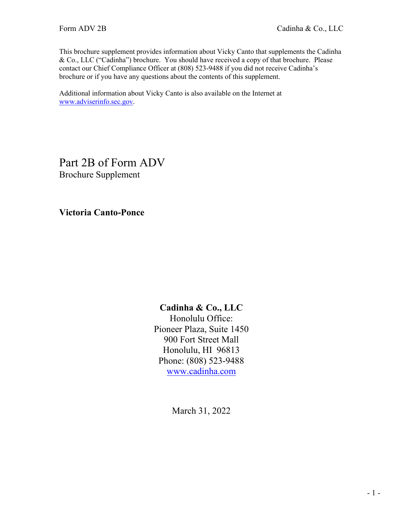This brochure supplement provides information about Vicky Canto that supplements the Cadinha & Co., LLC ("Cadinha") brochure. You should have received a copy of that brochure. Please contact our Chief Compliance Officer at (808) 523-9488 if you did not receive Cadinha's brochure or if you have any questions about the contents of this supplement.

Additional information about Vicky Canto is also available on the Internet at [www.adviserinfo.sec.gov.](http://www.adviserinfo.sec.gov/)

Part 2B of Form ADV Brochure Supplement

**Victoria Canto-Ponce**

## **Cadinha & Co., LLC**

Honolulu Office: Pioneer Plaza, Suite 1450 900 Fort Street Mall Honolulu, HI 96813 Phone: (808) 523-9488 [www.cadinha.com](http://www.cadinha.com/)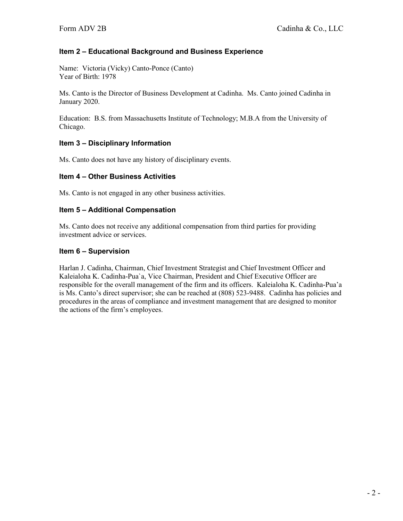Name: Victoria (Vicky) Canto-Ponce (Canto) Year of Birth: 1978

Ms. Canto is the Director of Business Development at Cadinha. Ms. Canto joined Cadinha in January 2020.

Education: B.S. from Massachusetts Institute of Technology; M.B.A from the University of Chicago.

#### **Item 3 – Disciplinary Information**

Ms. Canto does not have any history of disciplinary events.

#### **Item 4 – Other Business Activities**

Ms. Canto is not engaged in any other business activities.

#### **Item 5 – Additional Compensation**

Ms. Canto does not receive any additional compensation from third parties for providing investment advice or services.

#### **Item 6 – Supervision**

Harlan J. Cadinha, Chairman, Chief Investment Strategist and Chief Investment Officer and Kaleialoha K. Cadinha-Pua`a, Vice Chairman, President and Chief Executive Officer are responsible for the overall management of the firm and its officers. Kaleialoha K. Cadinha-Pua'a is Ms. Canto's direct supervisor; she can be reached at (808) 523-9488. Cadinha has policies and procedures in the areas of compliance and investment management that are designed to monitor the actions of the firm's employees.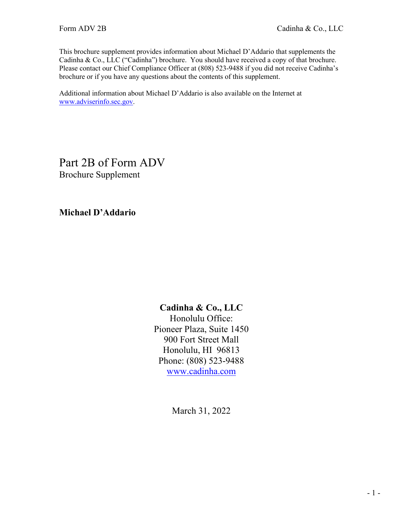This brochure supplement provides information about Michael D'Addario that supplements the Cadinha & Co., LLC ("Cadinha") brochure. You should have received a copy of that brochure. Please contact our Chief Compliance Officer at (808) 523-9488 if you did not receive Cadinha's brochure or if you have any questions about the contents of this supplement.

Additional information about Michael D'Addario is also available on the Internet at [www.adviserinfo.sec.gov.](http://www.adviserinfo.sec.gov/)

Part 2B of Form ADV Brochure Supplement

**Michael D'Addario**

## **Cadinha & Co., LLC**

Honolulu Office: Pioneer Plaza, Suite 1450 900 Fort Street Mall Honolulu, HI 96813 Phone: (808) 523-9488 [www.cadinha.com](http://www.cadinha.com/)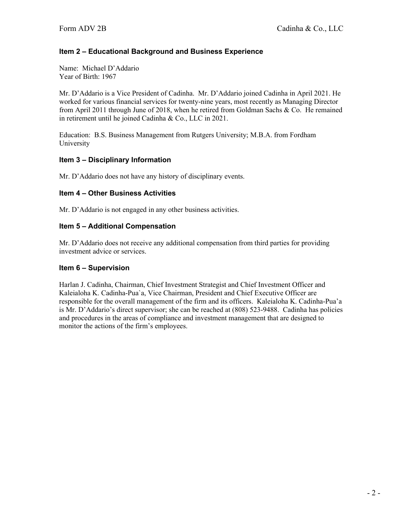Name: Michael D'Addario Year of Birth: 1967

Mr. D'Addario is a Vice President of Cadinha. Mr. D'Addario joined Cadinha in April 2021. He worked for various financial services for twenty-nine years, most recently as Managing Director from April 2011 through June of 2018, when he retired from Goldman Sachs & Co. He remained in retirement until he joined Cadinha & Co., LLC in 2021.

Education: B.S. Business Management from Rutgers University; M.B.A. from Fordham University

#### **Item 3 – Disciplinary Information**

Mr. D'Addario does not have any history of disciplinary events.

#### **Item 4 – Other Business Activities**

Mr. D'Addario is not engaged in any other business activities.

#### **Item 5 – Additional Compensation**

Mr. D'Addario does not receive any additional compensation from third parties for providing investment advice or services.

#### **Item 6 – Supervision**

Harlan J. Cadinha, Chairman, Chief Investment Strategist and Chief Investment Officer and Kaleialoha K. Cadinha-Pua`a, Vice Chairman, President and Chief Executive Officer are responsible for the overall management of the firm and its officers. Kaleialoha K. Cadinha-Pua'a is Mr. D'Addario's direct supervisor; she can be reached at (808) 523-9488. Cadinha has policies and procedures in the areas of compliance and investment management that are designed to monitor the actions of the firm's employees.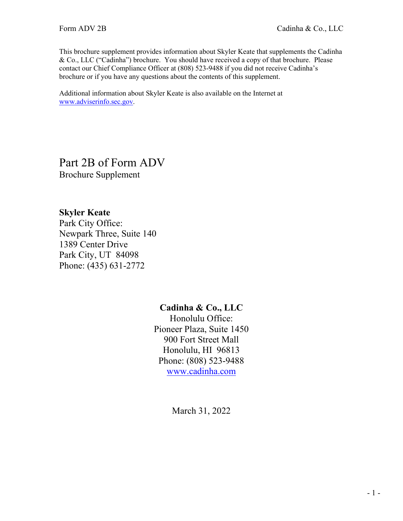This brochure supplement provides information about Skyler Keate that supplements the Cadinha & Co., LLC ("Cadinha") brochure. You should have received a copy of that brochure. Please contact our Chief Compliance Officer at (808) 523-9488 if you did not receive Cadinha's brochure or if you have any questions about the contents of this supplement.

Additional information about Skyler Keate is also available on the Internet at [www.adviserinfo.sec.gov.](http://www.adviserinfo.sec.gov/)

Part 2B of Form ADV Brochure Supplement

## **Skyler Keate**

Park City Office: Newpark Three, Suite 140 1389 Center Drive Park City, UT 84098 Phone: (435) 631-2772

## **Cadinha & Co., LLC**

Honolulu Office: Pioneer Plaza, Suite 1450 900 Fort Street Mall Honolulu, HI 96813 Phone: (808) 523-9488 [www.cadinha.com](http://www.cadinha.com/)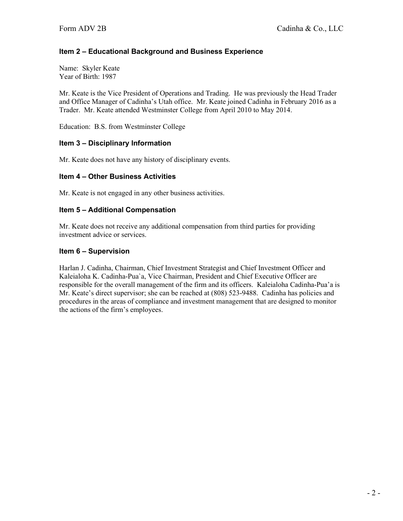Name: Skyler Keate Year of Birth: 1987

Mr. Keate is the Vice President of Operations and Trading. He was previously the Head Trader and Office Manager of Cadinha's Utah office. Mr. Keate joined Cadinha in February 2016 as a Trader. Mr. Keate attended Westminster College from April 2010 to May 2014.

Education: B.S. from Westminster College

#### **Item 3 – Disciplinary Information**

Mr. Keate does not have any history of disciplinary events.

#### **Item 4 – Other Business Activities**

Mr. Keate is not engaged in any other business activities.

#### **Item 5 – Additional Compensation**

Mr. Keate does not receive any additional compensation from third parties for providing investment advice or services.

#### **Item 6 – Supervision**

Harlan J. Cadinha, Chairman, Chief Investment Strategist and Chief Investment Officer and Kaleialoha K. Cadinha-Pua`a, Vice Chairman, President and Chief Executive Officer are responsible for the overall management of the firm and its officers. Kaleialoha Cadinha-Pua'a is Mr. Keate's direct supervisor; she can be reached at (808) 523-9488. Cadinha has policies and procedures in the areas of compliance and investment management that are designed to monitor the actions of the firm's employees.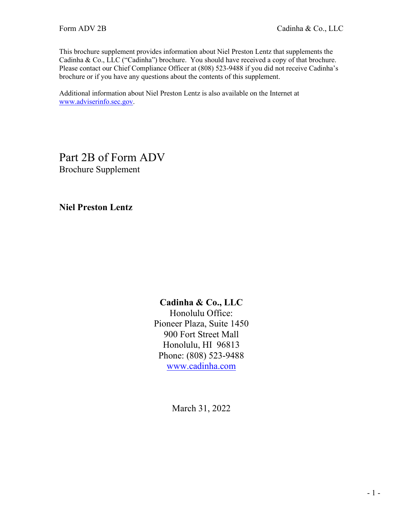This brochure supplement provides information about Niel Preston Lentz that supplements the Cadinha & Co., LLC ("Cadinha") brochure. You should have received a copy of that brochure. Please contact our Chief Compliance Officer at (808) 523-9488 if you did not receive Cadinha's brochure or if you have any questions about the contents of this supplement.

Additional information about Niel Preston Lentz is also available on the Internet at [www.adviserinfo.sec.gov.](http://www.adviserinfo.sec.gov/)

Part 2B of Form ADV Brochure Supplement

**Niel Preston Lentz**

## **Cadinha & Co., LLC**

Honolulu Office: Pioneer Plaza, Suite 1450 900 Fort Street Mall Honolulu, HI 96813 Phone: (808) 523-9488 [www.cadinha.com](http://www.cadinha.com/)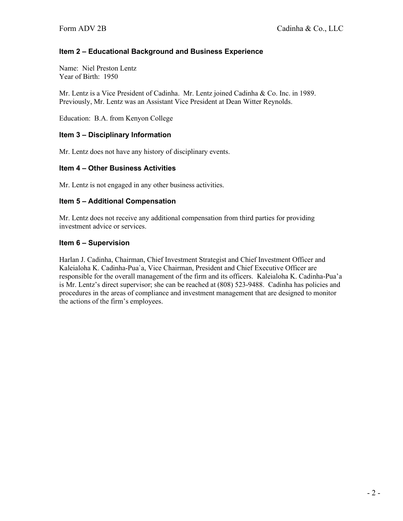Name: Niel Preston Lentz Year of Birth: 1950

Mr. Lentz is a Vice President of Cadinha. Mr. Lentz joined Cadinha & Co. Inc. in 1989. Previously, Mr. Lentz was an Assistant Vice President at Dean Witter Reynolds.

Education: B.A. from Kenyon College

#### **Item 3 – Disciplinary Information**

Mr. Lentz does not have any history of disciplinary events.

#### **Item 4 – Other Business Activities**

Mr. Lentz is not engaged in any other business activities.

#### **Item 5 – Additional Compensation**

Mr. Lentz does not receive any additional compensation from third parties for providing investment advice or services.

#### **Item 6 – Supervision**

Harlan J. Cadinha, Chairman, Chief Investment Strategist and Chief Investment Officer and Kaleialoha K. Cadinha-Pua`a, Vice Chairman, President and Chief Executive Officer are responsible for the overall management of the firm and its officers. Kaleialoha K. Cadinha-Pua'a is Mr. Lentz's direct supervisor; she can be reached at (808) 523-9488. Cadinha has policies and procedures in the areas of compliance and investment management that are designed to monitor the actions of the firm's employees.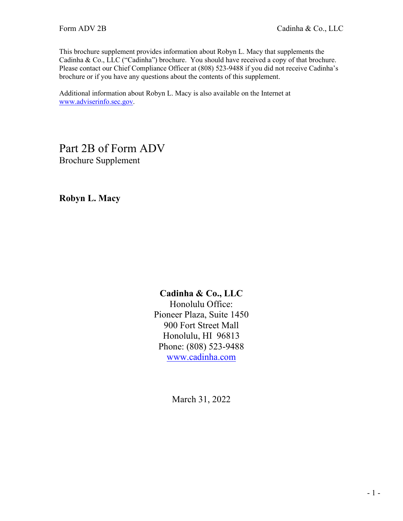This brochure supplement provides information about Robyn L. Macy that supplements the Cadinha & Co., LLC ("Cadinha") brochure. You should have received a copy of that brochure. Please contact our Chief Compliance Officer at (808) 523-9488 if you did not receive Cadinha's brochure or if you have any questions about the contents of this supplement.

Additional information about Robyn L. Macy is also available on the Internet at [www.adviserinfo.sec.gov.](http://www.adviserinfo.sec.gov/)

Part 2B of Form ADV Brochure Supplement

**Robyn L. Macy**

## **Cadinha & Co., LLC**

Honolulu Office: Pioneer Plaza, Suite 1450 900 Fort Street Mall Honolulu, HI 96813 Phone: (808) 523-9488 [www.cadinha.com](http://www.cadinha.com/)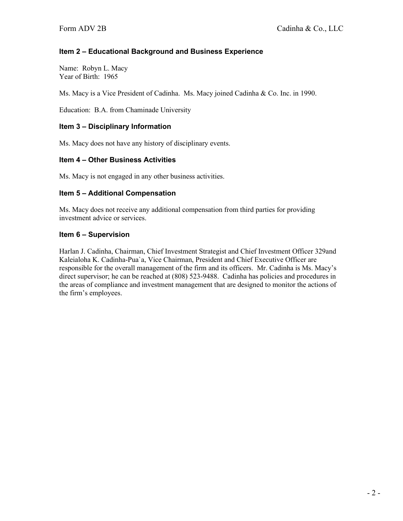Name: Robyn L. Macy Year of Birth: 1965

Ms. Macy is a Vice President of Cadinha. Ms. Macy joined Cadinha & Co. Inc. in 1990.

Education: B.A. from Chaminade University

#### **Item 3 – Disciplinary Information**

Ms. Macy does not have any history of disciplinary events.

#### **Item 4 – Other Business Activities**

Ms. Macy is not engaged in any other business activities.

#### **Item 5 – Additional Compensation**

Ms. Macy does not receive any additional compensation from third parties for providing investment advice or services.

#### **Item 6 – Supervision**

Harlan J. Cadinha, Chairman, Chief Investment Strategist and Chief Investment Officer 329and Kaleialoha K. Cadinha-Pua`a, Vice Chairman, President and Chief Executive Officer are responsible for the overall management of the firm and its officers. Mr. Cadinha is Ms. Macy's direct supervisor; he can be reached at (808) 523-9488. Cadinha has policies and procedures in the areas of compliance and investment management that are designed to monitor the actions of the firm's employees.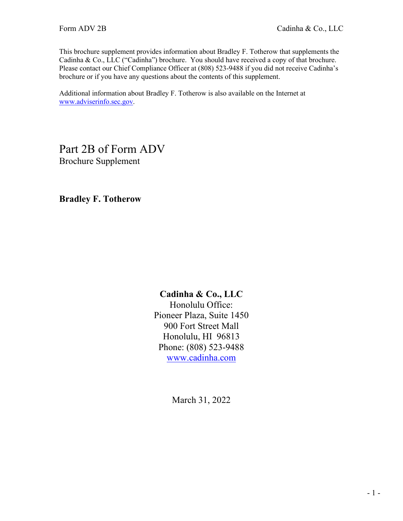This brochure supplement provides information about Bradley F. Totherow that supplements the Cadinha & Co., LLC ("Cadinha") brochure. You should have received a copy of that brochure. Please contact our Chief Compliance Officer at (808) 523-9488 if you did not receive Cadinha's brochure or if you have any questions about the contents of this supplement.

Additional information about Bradley F. Totherow is also available on the Internet at [www.adviserinfo.sec.gov.](http://www.adviserinfo.sec.gov/)

Part 2B of Form ADV Brochure Supplement

**Bradley F. Totherow**

## **Cadinha & Co., LLC**

Honolulu Office: Pioneer Plaza, Suite 1450 900 Fort Street Mall Honolulu, HI 96813 Phone: (808) 523-9488 [www.cadinha.com](http://www.cadinha.com/)